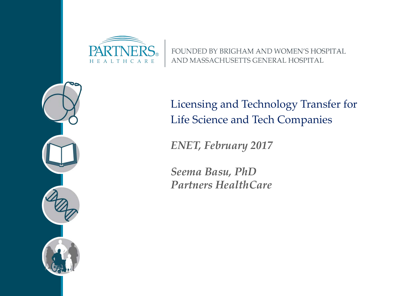

FOUNDED BY BRIGHAM AND WOMEN'S HOSPITAL AND MASSACHUSETTS GENERAL HOSPITAL



Licensing and Technology Transfer for Life Science and Tech Companies

*ENET, February 2017*

*Seema Basu, PhD Partners HealthCare*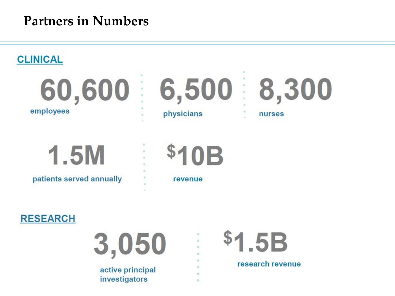#### **Partners in Numbers**



 $\mathbf{u}$ 

 $\alpha$ 





active principal investigators



research revenue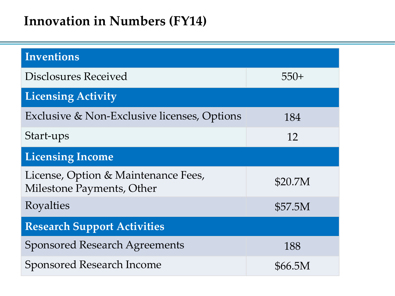### **Innovation in Numbers (FY14)**

| <b>Inventions</b>                                                |         |
|------------------------------------------------------------------|---------|
| <b>Disclosures Received</b>                                      | $550+$  |
| <b>Licensing Activity</b>                                        |         |
| Exclusive & Non-Exclusive licenses, Options                      | 184     |
| Start-ups                                                        | 12      |
| <b>Licensing Income</b>                                          |         |
| License, Option & Maintenance Fees,<br>Milestone Payments, Other | \$20.7M |
| Royalties                                                        | \$57.5M |
| <b>Research Support Activities</b>                               |         |
| <b>Sponsored Research Agreements</b>                             | 188     |
| <b>Sponsored Research Income</b>                                 | \$66.5M |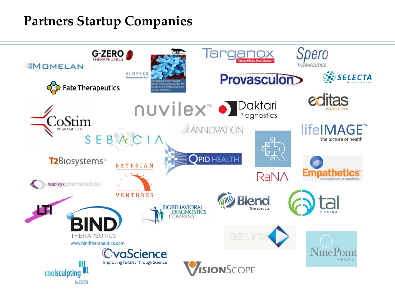### **Partners Startup Companies**

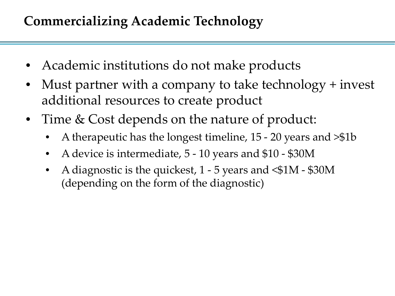# **Commercializing Academic Technology**

- Academic institutions do not make products
- Must partner with a company to take technology + invest additional resources to create product
- Time & Cost depends on the nature of product:
	- A therapeutic has the longest timeline, 15 20 years and >\$1b
	- A device is intermediate, 5 10 years and \$10 \$30M
	- A diagnostic is the quickest,  $1 5$  years and  $\leq 1M $30M$ (depending on the form of the diagnostic)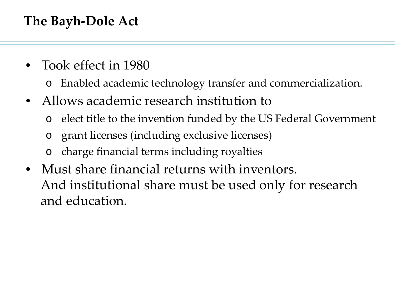## **The Bayh-Dole Act**

- Took effect in 1980
	- o Enabled academic technology transfer and commercialization.
- Allows academic research institution to
	- o elect title to the invention funded by the US Federal Government
	- o grant licenses (including exclusive licenses)
	- o charge financial terms including royalties
- Must share financial returns with inventors. And institutional share must be used only for research and education.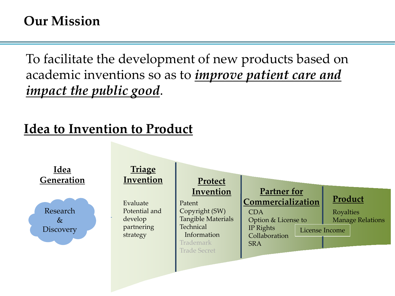### **Our Mission**

To facilitate the development of new products based on academic inventions so as to *improve patient care and impact the public good*.

# **Idea to Invention to Product**

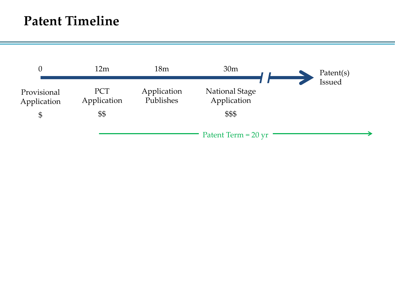#### **Patent Timeline**

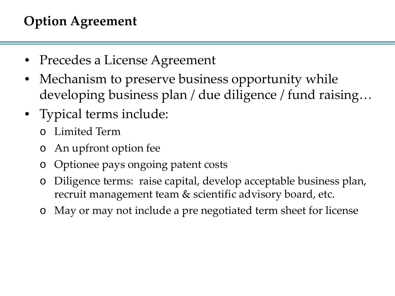# **Option Agreement**

- Precedes a License Agreement
- Mechanism to preserve business opportunity while developing business plan / due diligence / fund raising…
- Typical terms include:
	- o Limited Term
	- o An upfront option fee
	- o Optionee pays ongoing patent costs
	- o Diligence terms: raise capital, develop acceptable business plan, recruit management team & scientific advisory board, etc.
	- o May or may not include a pre negotiated term sheet for license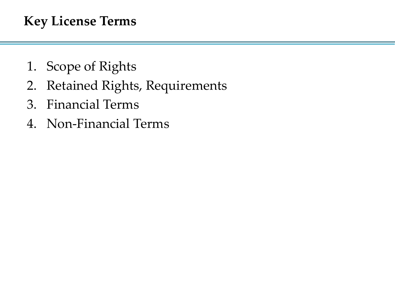### **Key License Terms**

- 1. Scope of Rights
- 2. Retained Rights, Requirements
- 3. Financial Terms
- 4. Non-Financial Terms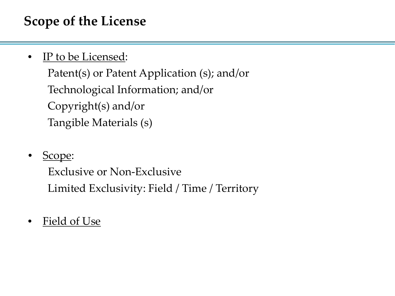## **Scope of the License**

IP to be Licensed:

Patent(s) or Patent Application (s); and/or Technological Information; and/or Copyright(s) and/or Tangible Materials (s)

Scope:

Exclusive or Non-Exclusive Limited Exclusivity: Field / Time / Territory

Field of Use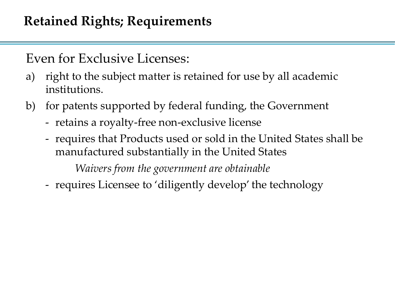Even for Exclusive Licenses:

- a) right to the subject matter is retained for use by all academic institutions.
- b) for patents supported by federal funding, the Government
	- retains a royalty-free non-exclusive license
	- requires that Products used or sold in the United States shall be manufactured substantially in the United States

*Waivers from the government are obtainable*

- requires Licensee to 'diligently develop' the technology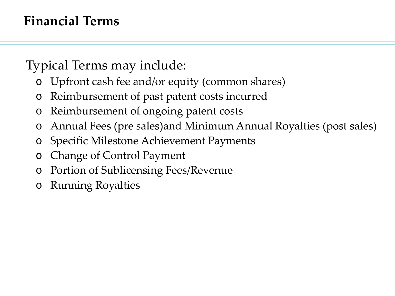## **Financial Terms**

Typical Terms may include:

- o Upfront cash fee and/or equity (common shares)
- o Reimbursement of past patent costs incurred
- Reimbursement of ongoing patent costs
- o Annual Fees (pre sales)and Minimum Annual Royalties (post sales)
- o Specific Milestone Achievement Payments
- o Change of Control Payment
- Portion of Sublicensing Fees/Revenue
- o Running Royalties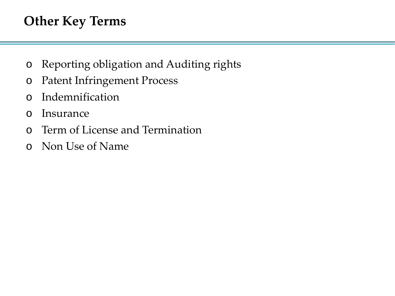## **Other Key Terms**

- o Reporting obligation and Auditing rights
- o Patent Infringement Process
- o Indemnification
- o Insurance
- o Term of License and Termination
- o Non Use of Name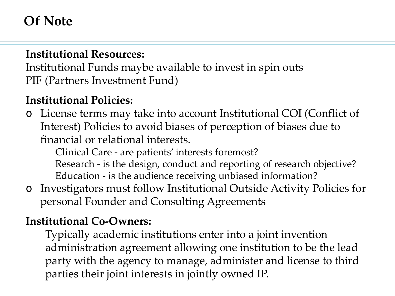### **Of Note**

#### **Institutional Resources:**

Institutional Funds maybe available to invest in spin outs PIF (Partners Investment Fund)

#### **Institutional Policies:**

o License terms may take into account Institutional COI (Conflict of Interest) Policies to avoid biases of perception of biases due to financial or relational interests.

Clinical Care - are patients' interests foremost?

Research - is the design, conduct and reporting of research objective? Education - is the audience receiving unbiased information?

o Investigators must follow Institutional Outside Activity Policies for personal Founder and Consulting Agreements

#### **Institutional Co-Owners:**

Typically academic institutions enter into a joint invention administration agreement allowing one institution to be the lead party with the agency to manage, administer and license to third parties their joint interests in jointly owned IP.